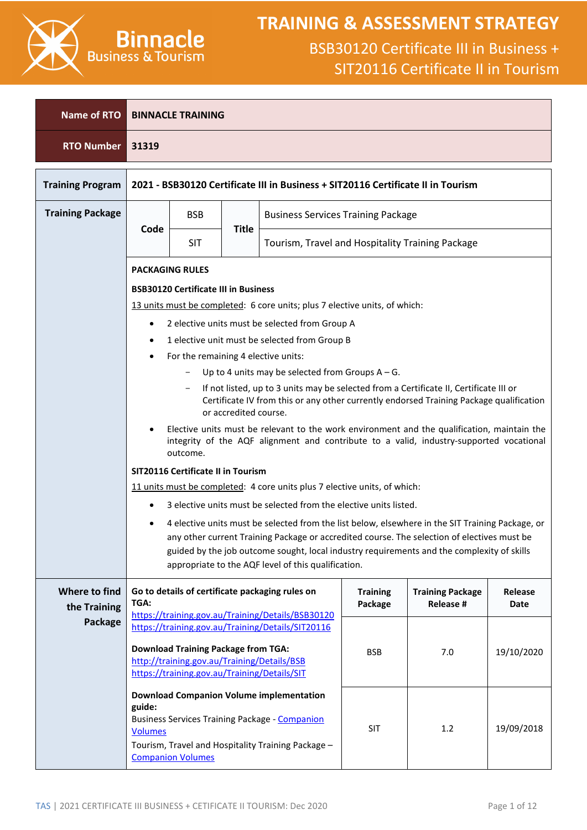

### **TRAINING & ASSESSMENT STRATEGY**

| <b>Name of RTO</b>            |                                                                                                                                                                                                                                                                                                                                                      | <b>BINNACLE TRAINING</b>                                                                    |              |                                                                                                                                                                |                            |                                                  |                 |  |  |
|-------------------------------|------------------------------------------------------------------------------------------------------------------------------------------------------------------------------------------------------------------------------------------------------------------------------------------------------------------------------------------------------|---------------------------------------------------------------------------------------------|--------------|----------------------------------------------------------------------------------------------------------------------------------------------------------------|----------------------------|--------------------------------------------------|-----------------|--|--|
| <b>RTO Number</b>             | 31319                                                                                                                                                                                                                                                                                                                                                |                                                                                             |              |                                                                                                                                                                |                            |                                                  |                 |  |  |
| <b>Training Program</b>       |                                                                                                                                                                                                                                                                                                                                                      |                                                                                             |              | 2021 - BSB30120 Certificate III in Business + SIT20116 Certificate II in Tourism                                                                               |                            |                                                  |                 |  |  |
| <b>Training Package</b>       |                                                                                                                                                                                                                                                                                                                                                      | <b>BSB</b>                                                                                  |              | <b>Business Services Training Package</b>                                                                                                                      |                            |                                                  |                 |  |  |
|                               | Code                                                                                                                                                                                                                                                                                                                                                 | <b>SIT</b>                                                                                  | <b>Title</b> |                                                                                                                                                                |                            | Tourism, Travel and Hospitality Training Package |                 |  |  |
|                               |                                                                                                                                                                                                                                                                                                                                                      | <b>PACKAGING RULES</b>                                                                      |              |                                                                                                                                                                |                            |                                                  |                 |  |  |
|                               |                                                                                                                                                                                                                                                                                                                                                      | <b>BSB30120 Certificate III in Business</b>                                                 |              |                                                                                                                                                                |                            |                                                  |                 |  |  |
|                               |                                                                                                                                                                                                                                                                                                                                                      |                                                                                             |              | 13 units must be completed: 6 core units; plus 7 elective units, of which:                                                                                     |                            |                                                  |                 |  |  |
|                               | $\bullet$                                                                                                                                                                                                                                                                                                                                            |                                                                                             |              | 2 elective units must be selected from Group A                                                                                                                 |                            |                                                  |                 |  |  |
|                               | ٠                                                                                                                                                                                                                                                                                                                                                    |                                                                                             |              | 1 elective unit must be selected from Group B                                                                                                                  |                            |                                                  |                 |  |  |
|                               |                                                                                                                                                                                                                                                                                                                                                      | For the remaining 4 elective units:                                                         |              |                                                                                                                                                                |                            |                                                  |                 |  |  |
|                               |                                                                                                                                                                                                                                                                                                                                                      |                                                                                             |              | Up to 4 units may be selected from Groups $A - G$ .                                                                                                            |                            |                                                  |                 |  |  |
|                               | If not listed, up to 3 units may be selected from a Certificate II, Certificate III or<br>Certificate IV from this or any other currently endorsed Training Package qualification<br>or accredited course.                                                                                                                                           |                                                                                             |              |                                                                                                                                                                |                            |                                                  |                 |  |  |
|                               | Elective units must be relevant to the work environment and the qualification, maintain the<br>integrity of the AQF alignment and contribute to a valid, industry-supported vocational<br>outcome.                                                                                                                                                   |                                                                                             |              |                                                                                                                                                                |                            |                                                  |                 |  |  |
|                               | <b>SIT20116 Certificate II in Tourism</b>                                                                                                                                                                                                                                                                                                            |                                                                                             |              |                                                                                                                                                                |                            |                                                  |                 |  |  |
|                               | 11 units must be completed: 4 core units plus 7 elective units, of which:                                                                                                                                                                                                                                                                            |                                                                                             |              |                                                                                                                                                                |                            |                                                  |                 |  |  |
|                               | ٠                                                                                                                                                                                                                                                                                                                                                    |                                                                                             |              | 3 elective units must be selected from the elective units listed.                                                                                              |                            |                                                  |                 |  |  |
|                               | 4 elective units must be selected from the list below, elsewhere in the SIT Training Package, or<br>any other current Training Package or accredited course. The selection of electives must be<br>guided by the job outcome sought, local industry requirements and the complexity of skills<br>appropriate to the AQF level of this qualification. |                                                                                             |              |                                                                                                                                                                |                            |                                                  |                 |  |  |
| Where to find<br>the Training | TGA:                                                                                                                                                                                                                                                                                                                                                 |                                                                                             |              | Go to details of certificate packaging rules on<br>https://training.gov.au/Training/Details/BSB30120                                                           | <b>Training</b><br>Package | <b>Training Package</b><br><b>Release #</b>      | Release<br>Date |  |  |
| Package                       |                                                                                                                                                                                                                                                                                                                                                      |                                                                                             |              | https://training.gov.au/Training/Details/SIT20116                                                                                                              |                            |                                                  |                 |  |  |
|                               |                                                                                                                                                                                                                                                                                                                                                      | <b>Download Training Package from TGA:</b>                                                  |              |                                                                                                                                                                | <b>BSB</b>                 | 7.0                                              | 19/10/2020      |  |  |
|                               |                                                                                                                                                                                                                                                                                                                                                      | http://training.gov.au/Training/Details/BSB<br>https://training.gov.au/Training/Details/SIT |              |                                                                                                                                                                |                            |                                                  |                 |  |  |
|                               | guide:<br><b>Volumes</b>                                                                                                                                                                                                                                                                                                                             | <b>Companion Volumes</b>                                                                    |              | <b>Download Companion Volume implementation</b><br><b>Business Services Training Package - Companion</b><br>Tourism, Travel and Hospitality Training Package - | <b>SIT</b>                 | 1.2                                              | 19/09/2018      |  |  |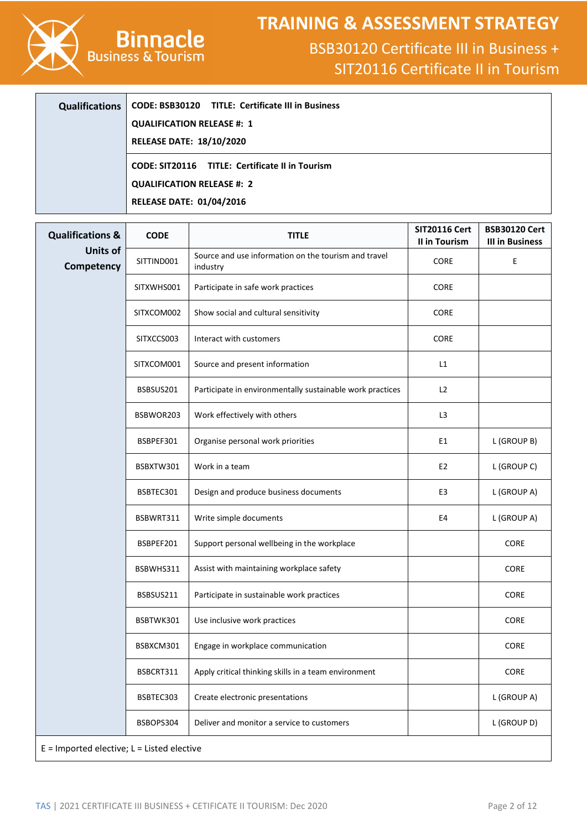

# **TRAINING & ASSESSMENT STRATEGY**

| <b>Qualifications</b> | CODE: BSB30120 TITLE: Certificate III in Business |
|-----------------------|---------------------------------------------------|
|                       | <b>QUALIFICATION RELEASE #: 1</b>                 |
|                       | <b>RELEASE DATE: 18/10/2020</b>                   |
|                       | CODE: SIT20116 TITLE: Certificate II in Tourism   |
|                       | <b>QUALIFICATION RELEASE #: 2</b>                 |
|                       | <b>RELEASE DATE: 01/04/2016</b>                   |

| <b>Qualifications &amp;</b>                    | <b>CODE</b> | <b>TITLE</b>                                                     | <b>SIT20116 Cert</b><br>II in Tourism | <b>BSB30120 Cert</b><br><b>III in Business</b> |  |
|------------------------------------------------|-------------|------------------------------------------------------------------|---------------------------------------|------------------------------------------------|--|
| <b>Units of</b><br>Competency                  | SITTIND001  | Source and use information on the tourism and travel<br>industry | CORE                                  | Ε                                              |  |
|                                                | SITXWHS001  | Participate in safe work practices                               | CORE                                  |                                                |  |
|                                                | SITXCOM002  | Show social and cultural sensitivity                             | CORE                                  |                                                |  |
|                                                | SITXCCS003  | Interact with customers                                          | CORE                                  |                                                |  |
|                                                | SITXCOM001  | Source and present information                                   | L1                                    |                                                |  |
|                                                | BSBSUS201   | Participate in environmentally sustainable work practices        | L2                                    |                                                |  |
|                                                | BSBWOR203   | Work effectively with others                                     | L <sub>3</sub>                        |                                                |  |
|                                                | BSBPEF301   | Organise personal work priorities                                | E1                                    | L (GROUP B)                                    |  |
|                                                | BSBXTW301   | Work in a team                                                   | E2                                    | L (GROUP C)                                    |  |
|                                                | BSBTEC301   | Design and produce business documents                            | E3                                    | L (GROUP A)                                    |  |
|                                                | BSBWRT311   | Write simple documents                                           | E4                                    | L (GROUP A)                                    |  |
|                                                | BSBPEF201   | Support personal wellbeing in the workplace                      |                                       | CORE                                           |  |
|                                                | BSBWHS311   | Assist with maintaining workplace safety                         |                                       | <b>CORE</b>                                    |  |
|                                                | BSBSUS211   | Participate in sustainable work practices                        |                                       | CORE                                           |  |
|                                                | BSBTWK301   | Use inclusive work practices                                     |                                       | CORE                                           |  |
|                                                | BSBXCM301   | Engage in workplace communication                                |                                       | CORE                                           |  |
|                                                | BSBCRT311   | Apply critical thinking skills in a team environment             |                                       | CORE                                           |  |
|                                                | BSBTEC303   | Create electronic presentations                                  |                                       | L (GROUP A)                                    |  |
|                                                | BSBOPS304   | Deliver and monitor a service to customers                       |                                       | L (GROUP D)                                    |  |
| $E =$ Imported elective; $L =$ Listed elective |             |                                                                  |                                       |                                                |  |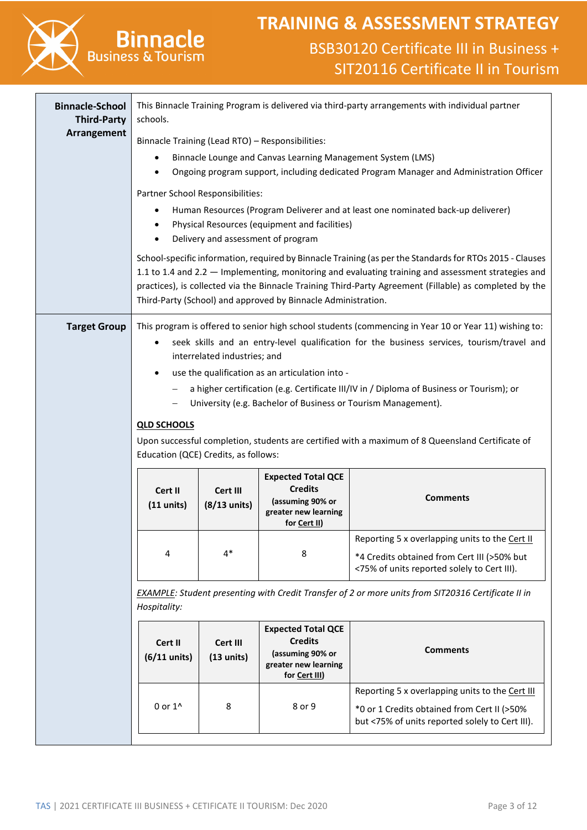

# **Binnacle**<br>Business & Tourism

| schools.                                                                                                                                                            |              |                                                           |                                                                                                                                                                                                                                                                                                                                                                                                                                                                                                                                                                                                                                                                                                                                                                                                                                                                                                                                                                                                                                                                                                                                                                                                                            |  |  |
|---------------------------------------------------------------------------------------------------------------------------------------------------------------------|--------------|-----------------------------------------------------------|----------------------------------------------------------------------------------------------------------------------------------------------------------------------------------------------------------------------------------------------------------------------------------------------------------------------------------------------------------------------------------------------------------------------------------------------------------------------------------------------------------------------------------------------------------------------------------------------------------------------------------------------------------------------------------------------------------------------------------------------------------------------------------------------------------------------------------------------------------------------------------------------------------------------------------------------------------------------------------------------------------------------------------------------------------------------------------------------------------------------------------------------------------------------------------------------------------------------------|--|--|
|                                                                                                                                                                     |              |                                                           |                                                                                                                                                                                                                                                                                                                                                                                                                                                                                                                                                                                                                                                                                                                                                                                                                                                                                                                                                                                                                                                                                                                                                                                                                            |  |  |
|                                                                                                                                                                     |              |                                                           | Ongoing program support, including dedicated Program Manager and Administration Officer                                                                                                                                                                                                                                                                                                                                                                                                                                                                                                                                                                                                                                                                                                                                                                                                                                                                                                                                                                                                                                                                                                                                    |  |  |
|                                                                                                                                                                     |              |                                                           |                                                                                                                                                                                                                                                                                                                                                                                                                                                                                                                                                                                                                                                                                                                                                                                                                                                                                                                                                                                                                                                                                                                                                                                                                            |  |  |
|                                                                                                                                                                     |              |                                                           |                                                                                                                                                                                                                                                                                                                                                                                                                                                                                                                                                                                                                                                                                                                                                                                                                                                                                                                                                                                                                                                                                                                                                                                                                            |  |  |
|                                                                                                                                                                     |              |                                                           |                                                                                                                                                                                                                                                                                                                                                                                                                                                                                                                                                                                                                                                                                                                                                                                                                                                                                                                                                                                                                                                                                                                                                                                                                            |  |  |
| $\bullet$                                                                                                                                                           |              |                                                           | seek skills and an entry-level qualification for the business services, tourism/travel and                                                                                                                                                                                                                                                                                                                                                                                                                                                                                                                                                                                                                                                                                                                                                                                                                                                                                                                                                                                                                                                                                                                                 |  |  |
| $\bullet$                                                                                                                                                           |              |                                                           |                                                                                                                                                                                                                                                                                                                                                                                                                                                                                                                                                                                                                                                                                                                                                                                                                                                                                                                                                                                                                                                                                                                                                                                                                            |  |  |
| $\overline{\phantom{m}}$                                                                                                                                            |              |                                                           | a higher certification (e.g. Certificate III/IV in / Diploma of Business or Tourism); or                                                                                                                                                                                                                                                                                                                                                                                                                                                                                                                                                                                                                                                                                                                                                                                                                                                                                                                                                                                                                                                                                                                                   |  |  |
| <b>QLD SCHOOLS</b>                                                                                                                                                  |              |                                                           |                                                                                                                                                                                                                                                                                                                                                                                                                                                                                                                                                                                                                                                                                                                                                                                                                                                                                                                                                                                                                                                                                                                                                                                                                            |  |  |
| Upon successful completion, students are certified with a maximum of 8 Queensland Certificate of<br>Education (QCE) Credits, as follows:                            |              |                                                           |                                                                                                                                                                                                                                                                                                                                                                                                                                                                                                                                                                                                                                                                                                                                                                                                                                                                                                                                                                                                                                                                                                                                                                                                                            |  |  |
| <b>Expected Total QCE</b><br><b>Credits</b><br>Cert II<br>Cert III<br><b>Comments</b><br>(assuming 90% or<br>$(8/13$ units)<br>$(11$ units)<br>greater new learning |              |                                                           |                                                                                                                                                                                                                                                                                                                                                                                                                                                                                                                                                                                                                                                                                                                                                                                                                                                                                                                                                                                                                                                                                                                                                                                                                            |  |  |
|                                                                                                                                                                     |              |                                                           | Reporting 5 x overlapping units to the Cert II                                                                                                                                                                                                                                                                                                                                                                                                                                                                                                                                                                                                                                                                                                                                                                                                                                                                                                                                                                                                                                                                                                                                                                             |  |  |
|                                                                                                                                                                     |              |                                                           | *4 Credits obtained from Cert III (>50% but<br><75% of units reported solely to Cert III).                                                                                                                                                                                                                                                                                                                                                                                                                                                                                                                                                                                                                                                                                                                                                                                                                                                                                                                                                                                                                                                                                                                                 |  |  |
| Hospitality:                                                                                                                                                        |              |                                                           |                                                                                                                                                                                                                                                                                                                                                                                                                                                                                                                                                                                                                                                                                                                                                                                                                                                                                                                                                                                                                                                                                                                                                                                                                            |  |  |
|                                                                                                                                                                     |              | <b>Expected Total QCE</b><br><b>Credits</b>               |                                                                                                                                                                                                                                                                                                                                                                                                                                                                                                                                                                                                                                                                                                                                                                                                                                                                                                                                                                                                                                                                                                                                                                                                                            |  |  |
| $(6/11$ units)                                                                                                                                                      | $(13$ units) | (assuming 90% or<br>greater new learning<br>for Cert III) | <b>Comments</b>                                                                                                                                                                                                                                                                                                                                                                                                                                                                                                                                                                                                                                                                                                                                                                                                                                                                                                                                                                                                                                                                                                                                                                                                            |  |  |
| 0 or 1 <sup>^</sup>                                                                                                                                                 | 8            | 8 or 9                                                    | Reporting 5 x overlapping units to the Cert III<br>*0 or 1 Credits obtained from Cert II (>50%                                                                                                                                                                                                                                                                                                                                                                                                                                                                                                                                                                                                                                                                                                                                                                                                                                                                                                                                                                                                                                                                                                                             |  |  |
|                                                                                                                                                                     |              |                                                           | but <75% of units reported solely to Cert III).                                                                                                                                                                                                                                                                                                                                                                                                                                                                                                                                                                                                                                                                                                                                                                                                                                                                                                                                                                                                                                                                                                                                                                            |  |  |
|                                                                                                                                                                     | 4<br>Cert II | $4*$<br>Cert III                                          | This Binnacle Training Program is delivered via third-party arrangements with individual partner<br>Binnacle Training (Lead RTO) - Responsibilities:<br>Binnacle Lounge and Canvas Learning Management System (LMS)<br>Partner School Responsibilities:<br>Human Resources (Program Deliverer and at least one nominated back-up deliverer)<br>Physical Resources (equipment and facilities)<br>Delivery and assessment of program<br>School-specific information, required by Binnacle Training (as per the Standards for RTOs 2015 - Clauses<br>1.1 to 1.4 and 2.2 - Implementing, monitoring and evaluating training and assessment strategies and<br>practices), is collected via the Binnacle Training Third-Party Agreement (Fillable) as completed by the<br>Third-Party (School) and approved by Binnacle Administration.<br>This program is offered to senior high school students (commencing in Year 10 or Year 11) wishing to:<br>interrelated industries; and<br>use the qualification as an articulation into -<br>University (e.g. Bachelor of Business or Tourism Management).<br>for Cert II)<br>8<br>EXAMPLE: Student presenting with Credit Transfer of 2 or more units from SIT20316 Certificate II in |  |  |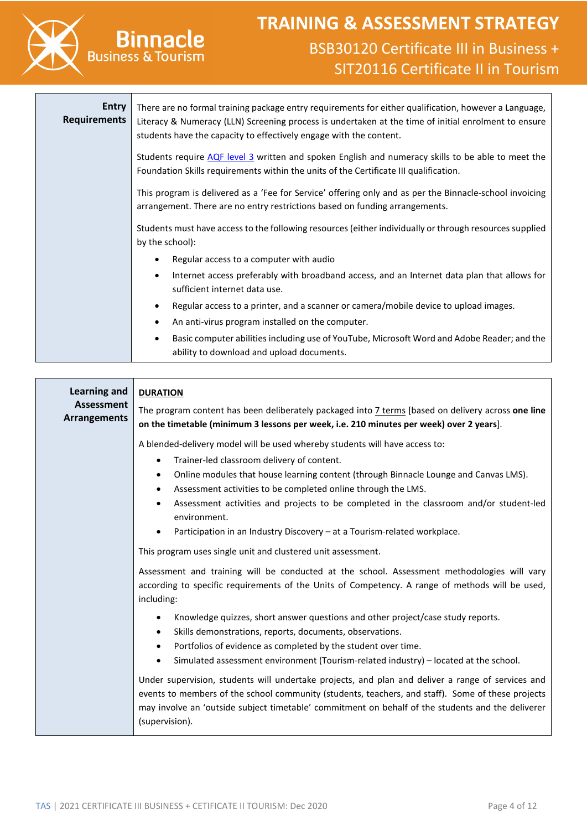

| Entry<br><b>Requirements</b> | There are no formal training package entry requirements for either qualification, however a Language,<br>Literacy & Numeracy (LLN) Screening process is undertaken at the time of initial enrolment to ensure<br>students have the capacity to effectively engage with the content. |
|------------------------------|-------------------------------------------------------------------------------------------------------------------------------------------------------------------------------------------------------------------------------------------------------------------------------------|
|                              | Students require AQF level 3 written and spoken English and numeracy skills to be able to meet the<br>Foundation Skills requirements within the units of the Certificate III qualification.                                                                                         |
|                              | This program is delivered as a 'Fee for Service' offering only and as per the Binnacle-school invoicing<br>arrangement. There are no entry restrictions based on funding arrangements.                                                                                              |
|                              | Students must have access to the following resources (either individually or through resources supplied<br>by the school):                                                                                                                                                          |
|                              | Regular access to a computer with audio                                                                                                                                                                                                                                             |
|                              | Internet access preferably with broadband access, and an Internet data plan that allows for<br>$\bullet$<br>sufficient internet data use.                                                                                                                                           |
|                              | Regular access to a printer, and a scanner or camera/mobile device to upload images.<br>$\bullet$                                                                                                                                                                                   |
|                              | An anti-virus program installed on the computer.<br>٠                                                                                                                                                                                                                               |
|                              | Basic computer abilities including use of YouTube, Microsoft Word and Adobe Reader; and the<br>ability to download and upload documents.                                                                                                                                            |

| <b>Learning and</b>                      | <b>DURATION</b>                                                                                                                                                                                                                                                                                                                                                                                                                                                                                    |  |  |  |  |
|------------------------------------------|----------------------------------------------------------------------------------------------------------------------------------------------------------------------------------------------------------------------------------------------------------------------------------------------------------------------------------------------------------------------------------------------------------------------------------------------------------------------------------------------------|--|--|--|--|
| <b>Assessment</b><br><b>Arrangements</b> | The program content has been deliberately packaged into 7 terms [based on delivery across one line<br>on the timetable (minimum 3 lessons per week, i.e. 210 minutes per week) over 2 years].                                                                                                                                                                                                                                                                                                      |  |  |  |  |
|                                          | A blended-delivery model will be used whereby students will have access to:<br>Trainer-led classroom delivery of content.<br>$\bullet$<br>Online modules that house learning content (through Binnacle Lounge and Canvas LMS).<br>$\bullet$<br>Assessment activities to be completed online through the LMS.<br>Assessment activities and projects to be completed in the classroom and/or student-led<br>environment.<br>Participation in an Industry Discovery - at a Tourism-related workplace. |  |  |  |  |
|                                          | This program uses single unit and clustered unit assessment.                                                                                                                                                                                                                                                                                                                                                                                                                                       |  |  |  |  |
|                                          | Assessment and training will be conducted at the school. Assessment methodologies will vary<br>according to specific requirements of the Units of Competency. A range of methods will be used,<br>including:                                                                                                                                                                                                                                                                                       |  |  |  |  |
|                                          | Knowledge quizzes, short answer questions and other project/case study reports.<br>$\bullet$<br>Skills demonstrations, reports, documents, observations.<br>Portfolios of evidence as completed by the student over time.<br>$\bullet$<br>Simulated assessment environment (Tourism-related industry) - located at the school.                                                                                                                                                                     |  |  |  |  |
|                                          | Under supervision, students will undertake projects, and plan and deliver a range of services and<br>events to members of the school community (students, teachers, and staff). Some of these projects<br>may involve an 'outside subject timetable' commitment on behalf of the students and the deliverer<br>(supervision).                                                                                                                                                                      |  |  |  |  |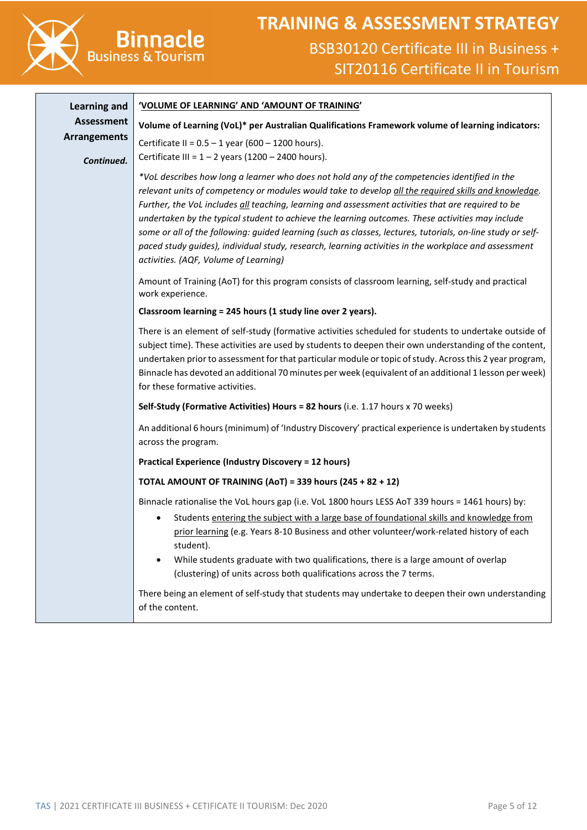

| <b>Learning and</b> | 'VOLUME OF LEARNING' AND 'AMOUNT OF TRAINING'                                                                                                                                                                                                                                                                                                                                                                                                                                                                                                                                                                                                                                   |  |  |  |  |  |
|---------------------|---------------------------------------------------------------------------------------------------------------------------------------------------------------------------------------------------------------------------------------------------------------------------------------------------------------------------------------------------------------------------------------------------------------------------------------------------------------------------------------------------------------------------------------------------------------------------------------------------------------------------------------------------------------------------------|--|--|--|--|--|
| Assessment          | Volume of Learning (VoL)* per Australian Qualifications Framework volume of learning indicators:                                                                                                                                                                                                                                                                                                                                                                                                                                                                                                                                                                                |  |  |  |  |  |
| <b>Arrangements</b> | Certificate II = $0.5 - 1$ year (600 - 1200 hours).                                                                                                                                                                                                                                                                                                                                                                                                                                                                                                                                                                                                                             |  |  |  |  |  |
| Continued.          | Certificate III = $1 - 2$ years (1200 - 2400 hours).                                                                                                                                                                                                                                                                                                                                                                                                                                                                                                                                                                                                                            |  |  |  |  |  |
|                     | *VoL describes how long a learner who does not hold any of the competencies identified in the<br>relevant units of competency or modules would take to develop all the required skills and knowledge.<br>Further, the VoL includes all teaching, learning and assessment activities that are required to be<br>undertaken by the typical student to achieve the learning outcomes. These activities may include<br>some or all of the following: guided learning (such as classes, lectures, tutorials, on-line study or self-<br>paced study guides), individual study, research, learning activities in the workplace and assessment<br>activities. (AQF, Volume of Learning) |  |  |  |  |  |
|                     | Amount of Training (AoT) for this program consists of classroom learning, self-study and practical<br>work experience.                                                                                                                                                                                                                                                                                                                                                                                                                                                                                                                                                          |  |  |  |  |  |
|                     | Classroom learning = 245 hours (1 study line over 2 years).                                                                                                                                                                                                                                                                                                                                                                                                                                                                                                                                                                                                                     |  |  |  |  |  |
|                     | There is an element of self-study (formative activities scheduled for students to undertake outside of<br>subject time). These activities are used by students to deepen their own understanding of the content,<br>undertaken prior to assessment for that particular module or topic of study. Across this 2 year program,<br>Binnacle has devoted an additional 70 minutes per week (equivalent of an additional 1 lesson per week)<br>for these formative activities.                                                                                                                                                                                                       |  |  |  |  |  |
|                     | Self-Study (Formative Activities) Hours = 82 hours (i.e. 1.17 hours x 70 weeks)                                                                                                                                                                                                                                                                                                                                                                                                                                                                                                                                                                                                 |  |  |  |  |  |
|                     | An additional 6 hours (minimum) of 'Industry Discovery' practical experience is undertaken by students<br>across the program.                                                                                                                                                                                                                                                                                                                                                                                                                                                                                                                                                   |  |  |  |  |  |
|                     | <b>Practical Experience (Industry Discovery = 12 hours)</b>                                                                                                                                                                                                                                                                                                                                                                                                                                                                                                                                                                                                                     |  |  |  |  |  |
|                     | TOTAL AMOUNT OF TRAINING (AoT) = 339 hours (245 + 82 + 12)                                                                                                                                                                                                                                                                                                                                                                                                                                                                                                                                                                                                                      |  |  |  |  |  |
|                     | Binnacle rationalise the VoL hours gap (i.e. VoL 1800 hours LESS AoT 339 hours = 1461 hours) by:                                                                                                                                                                                                                                                                                                                                                                                                                                                                                                                                                                                |  |  |  |  |  |
|                     | Students entering the subject with a large base of foundational skills and knowledge from<br>prior learning (e.g. Years 8-10 Business and other volunteer/work-related history of each<br>student).<br>While students graduate with two qualifications, there is a large amount of overlap<br>$\bullet$<br>(clustering) of units across both qualifications across the 7 terms.                                                                                                                                                                                                                                                                                                 |  |  |  |  |  |
|                     | There being an element of self-study that students may undertake to deepen their own understanding<br>of the content.                                                                                                                                                                                                                                                                                                                                                                                                                                                                                                                                                           |  |  |  |  |  |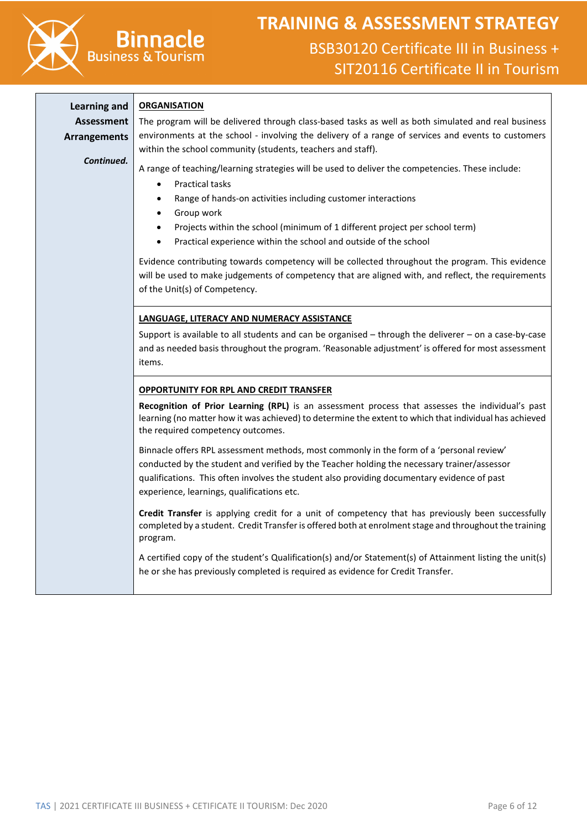

### **TRAINING & ASSESSMENT STRATEGY** BSB30120 Certificate III in Business + SIT20116 Certificate II in Tourism

**Learning and Assessment Arrangements**

*Continued.*

#### **ORGANISATION**

The program will be delivered through class-based tasks as well as both simulated and real business environments at the school - involving the delivery of a range of services and events to customers within the school community (students, teachers and staff).

A range of teaching/learning strategies will be used to deliver the competencies. These include:

- Practical tasks
- Range of hands-on activities including customer interactions
- Group work
- Projects within the school (minimum of 1 different project per school term)
- Practical experience within the school and outside of the school

Evidence contributing towards competency will be collected throughout the program. This evidence will be used to make judgements of competency that are aligned with, and reflect, the requirements of the Unit(s) of Competency.

#### **LANGUAGE, LITERACY AND NUMERACY ASSISTANCE**

Support is available to all students and can be organised – through the deliverer – on a case-by-case and as needed basis throughout the program. 'Reasonable adjustment' is offered for most assessment items.

#### **OPPORTUNITY FOR RPL AND CREDIT TRANSFER**

**Recognition of Prior Learning (RPL)** is an assessment process that assesses the individual's past learning (no matter how it was achieved) to determine the extent to which that individual has achieved the required competency outcomes.

Binnacle offers RPL assessment methods, most commonly in the form of a 'personal review' conducted by the student and verified by the Teacher holding the necessary trainer/assessor qualifications. This often involves the student also providing documentary evidence of past experience, learnings, qualifications etc.

**Credit Transfer** is applying credit for a unit of competency that has previously been successfully completed by a student. Credit Transfer is offered both at enrolment stage and throughout the training program.

A certified copy of the student's Qualification(s) and/or Statement(s) of Attainment listing the unit(s) he or she has previously completed is required as evidence for Credit Transfer.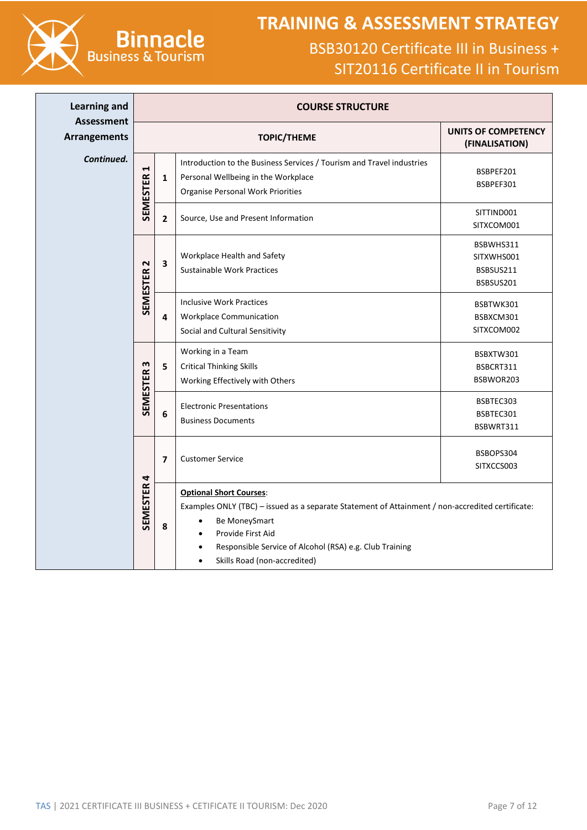

**Binnacle**<br>Business & Tourism

| <b>Learning and</b><br><b>Assessment</b> | <b>COURSE STRUCTURE</b> |                                                                                                                                                                                                                                                                                                                         |                                                                                                                                                          |                                                   |
|------------------------------------------|-------------------------|-------------------------------------------------------------------------------------------------------------------------------------------------------------------------------------------------------------------------------------------------------------------------------------------------------------------------|----------------------------------------------------------------------------------------------------------------------------------------------------------|---------------------------------------------------|
| <b>Arrangements</b>                      |                         |                                                                                                                                                                                                                                                                                                                         | <b>TOPIC/THEME</b>                                                                                                                                       | UNITS OF COMPETENCY<br>(FINALISATION)             |
| Continued.                               | 1<br><b>SEMESTER</b>    | $\mathbf 1$                                                                                                                                                                                                                                                                                                             | Introduction to the Business Services / Tourism and Travel industries<br>Personal Wellbeing in the Workplace<br><b>Organise Personal Work Priorities</b> | BSBPEF201<br>BSBPEF301                            |
|                                          |                         | $\overline{2}$                                                                                                                                                                                                                                                                                                          | Source, Use and Present Information                                                                                                                      | SITTIND001<br>SITXCOM001                          |
|                                          | SEMESTER <sub>2</sub>   | $\overline{\mathbf{3}}$                                                                                                                                                                                                                                                                                                 | Workplace Health and Safety<br>Sustainable Work Practices                                                                                                | BSBWHS311<br>SITXWHS001<br>BSBSUS211<br>BSBSUS201 |
|                                          |                         | $\overline{\mathbf{4}}$                                                                                                                                                                                                                                                                                                 | <b>Inclusive Work Practices</b><br><b>Workplace Communication</b><br>Social and Cultural Sensitivity                                                     | BSBTWK301<br>BSBXCM301<br>SITXCOM002              |
|                                          | m<br><b>SEMESTER</b>    | 5                                                                                                                                                                                                                                                                                                                       | Working in a Team<br><b>Critical Thinking Skills</b><br>Working Effectively with Others                                                                  | BSBXTW301<br>BSBCRT311<br>BSBWOR203               |
|                                          |                         | $6\phantom{1}$                                                                                                                                                                                                                                                                                                          | <b>Electronic Presentations</b><br><b>Business Documents</b>                                                                                             | BSBTEC303<br>BSBTEC301<br>BSBWRT311               |
|                                          |                         | $\overline{\mathbf{z}}$                                                                                                                                                                                                                                                                                                 | <b>Customer Service</b>                                                                                                                                  | BSBOPS304<br>SITXCCS003                           |
|                                          | <b>SEMESTER 4</b><br>8  | <b>Optional Short Courses:</b><br>Examples ONLY (TBC) - issued as a separate Statement of Attainment / non-accredited certificate:<br>Be MoneySmart<br>$\bullet$<br>Provide First Aid<br>$\bullet$<br>Responsible Service of Alcohol (RSA) e.g. Club Training<br>$\bullet$<br>Skills Road (non-accredited)<br>$\bullet$ |                                                                                                                                                          |                                                   |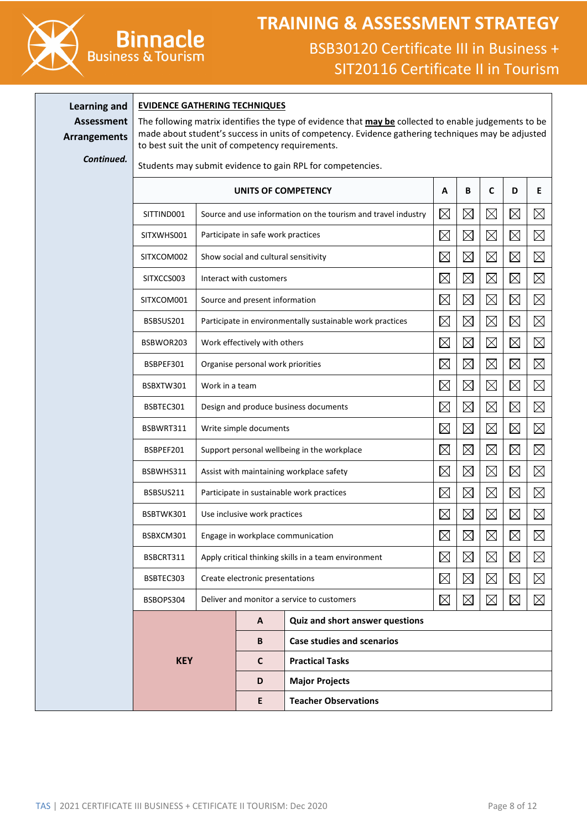

# **TRAINING & ASSESSMENT STRATEGY** BSB30120 Certificate III in Business +

SIT20116 Certificate II in Tourism

**Learning and Assessment Arrangements**

#### **EVIDENCE GATHERING TECHNIQUES**

**Binnacle** 

The following matrix identifies the type of evidence that **may be** collected to enable judgements to be made about student's success in units of competency. Evidence gathering techniques may be adjusted to best suit the unit of competency requirements.

*Continued.*

Students may submit evidence to gain RPL for competencies.

| UNITS OF COMPETENCY |                                                               |                                            |                                                           |             | B           | C           | D           | Е           |
|---------------------|---------------------------------------------------------------|--------------------------------------------|-----------------------------------------------------------|-------------|-------------|-------------|-------------|-------------|
| SITTIND001          | Source and use information on the tourism and travel industry |                                            |                                                           |             |             | $\boxtimes$ | $\boxtimes$ | $\boxtimes$ |
| SITXWHS001          |                                                               | Participate in safe work practices         |                                                           | $\boxtimes$ | $\boxtimes$ | $\boxtimes$ | $\boxtimes$ | $\boxtimes$ |
| SITXCOM002          |                                                               | Show social and cultural sensitivity       |                                                           | $\boxtimes$ | $\boxtimes$ | $\boxtimes$ | $\boxtimes$ | $\boxtimes$ |
| SITXCCS003          |                                                               | Interact with customers                    |                                                           | $\boxtimes$ | $\boxtimes$ | $\boxtimes$ | $\boxtimes$ | $\boxtimes$ |
| SITXCOM001          |                                                               | Source and present information             |                                                           | $\boxtimes$ | $\boxtimes$ | $\boxtimes$ | $\boxtimes$ | $\boxtimes$ |
| BSBSUS201           |                                                               |                                            | Participate in environmentally sustainable work practices | $\boxtimes$ | $\boxtimes$ | $\boxtimes$ | $\boxtimes$ | $\boxtimes$ |
| BSBWOR203           |                                                               | Work effectively with others               |                                                           | $\boxtimes$ | $\boxtimes$ | $\boxtimes$ | $\boxtimes$ | $\boxtimes$ |
| BSBPEF301           |                                                               | Organise personal work priorities          |                                                           | $\boxtimes$ | $\boxtimes$ | $\boxtimes$ | $\boxtimes$ | $\boxtimes$ |
| BSBXTW301           | Work in a team                                                |                                            |                                                           | $\boxtimes$ | $\boxtimes$ | $\boxtimes$ | $\boxtimes$ | $\boxtimes$ |
| BSBTEC301           |                                                               | Design and produce business documents      |                                                           |             | $\boxtimes$ | $\boxtimes$ | $\boxtimes$ | $\boxtimes$ |
| BSBWRT311           |                                                               | Write simple documents                     |                                                           |             | $\boxtimes$ | $\boxtimes$ | $\boxtimes$ | $\boxtimes$ |
| BSBPEF201           | Support personal wellbeing in the workplace                   |                                            |                                                           | $\boxtimes$ | $\boxtimes$ | $\boxtimes$ | $\boxtimes$ | $\boxtimes$ |
| BSBWHS311           | Assist with maintaining workplace safety                      |                                            |                                                           | $\boxtimes$ | $\boxtimes$ | $\boxtimes$ | $\boxtimes$ | $\boxtimes$ |
| BSBSUS211           |                                                               | Participate in sustainable work practices  |                                                           |             | $\boxtimes$ | $\boxtimes$ | $\boxtimes$ | $\boxtimes$ |
| BSBTWK301           |                                                               | Use inclusive work practices               |                                                           |             | $\boxtimes$ | $\boxtimes$ | $\boxtimes$ | $\boxtimes$ |
| BSBXCM301           |                                                               |                                            | Engage in workplace communication                         | $\boxtimes$ | $\boxtimes$ | $\boxtimes$ | $\boxtimes$ | $\boxtimes$ |
| BSBCRT311           |                                                               |                                            | Apply critical thinking skills in a team environment      | $\boxtimes$ | $\boxtimes$ | $\boxtimes$ | $\boxtimes$ | $\boxtimes$ |
| BSBTEC303           |                                                               | Create electronic presentations            |                                                           |             | $\boxtimes$ | $\boxtimes$ | $\boxtimes$ | $\boxtimes$ |
| BSBOPS304           |                                                               | Deliver and monitor a service to customers |                                                           |             | $\boxtimes$ | $\boxtimes$ | $\boxtimes$ | $\boxtimes$ |
|                     |                                                               | $\boldsymbol{\mathsf{A}}$                  | Quiz and short answer questions                           |             |             |             |             |             |
| <b>KEY</b>          |                                                               | B                                          | <b>Case studies and scenarios</b>                         |             |             |             |             |             |
|                     |                                                               | $\mathsf{C}$                               | <b>Practical Tasks</b>                                    |             |             |             |             |             |
|                     |                                                               | D                                          | <b>Major Projects</b>                                     |             |             |             |             |             |
|                     |                                                               | E                                          | <b>Teacher Observations</b>                               |             |             |             |             |             |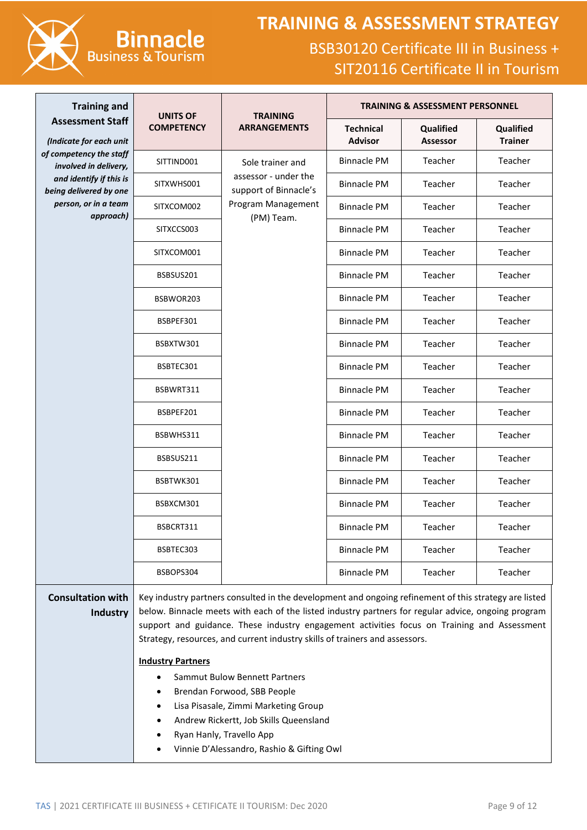

# **Binnacle Business & Tourism**

| <b>Training and</b>                                | <b>UNITS OF</b>                                                       | <b>TRAINING</b>                                                                                                                                                                                                                                                                                                                                                                                                                                                                                                                                     |                                          | <b>TRAINING &amp; ASSESSMENT PERSONNEL</b> |                             |  |  |
|----------------------------------------------------|-----------------------------------------------------------------------|-----------------------------------------------------------------------------------------------------------------------------------------------------------------------------------------------------------------------------------------------------------------------------------------------------------------------------------------------------------------------------------------------------------------------------------------------------------------------------------------------------------------------------------------------------|------------------------------------------|--------------------------------------------|-----------------------------|--|--|
| <b>Assessment Staff</b><br>(Indicate for each unit | <b>COMPETENCY</b>                                                     | <b>ARRANGEMENTS</b>                                                                                                                                                                                                                                                                                                                                                                                                                                                                                                                                 | <b>Technical</b><br><b>Advisor</b>       | Qualified<br><b>Assessor</b>               | Qualified<br><b>Trainer</b> |  |  |
| of competency the staff<br>involved in delivery,   | SITTIND001                                                            | Sole trainer and                                                                                                                                                                                                                                                                                                                                                                                                                                                                                                                                    | <b>Binnacle PM</b>                       | Teacher                                    | Teacher                     |  |  |
| and identify if this is<br>being delivered by one  | SITXWHS001                                                            | assessor - under the<br>support of Binnacle's                                                                                                                                                                                                                                                                                                                                                                                                                                                                                                       | <b>Binnacle PM</b>                       | Teacher                                    | Teacher                     |  |  |
| person, or in a team<br>approach)                  | SITXCOM002                                                            | Program Management<br>(PM) Team.                                                                                                                                                                                                                                                                                                                                                                                                                                                                                                                    | <b>Binnacle PM</b>                       | Teacher                                    | Teacher                     |  |  |
|                                                    | SITXCCS003                                                            |                                                                                                                                                                                                                                                                                                                                                                                                                                                                                                                                                     | <b>Binnacle PM</b>                       | Teacher                                    | Teacher                     |  |  |
|                                                    | SITXCOM001                                                            |                                                                                                                                                                                                                                                                                                                                                                                                                                                                                                                                                     | <b>Binnacle PM</b>                       | Teacher                                    | Teacher                     |  |  |
|                                                    | BSBSUS201                                                             |                                                                                                                                                                                                                                                                                                                                                                                                                                                                                                                                                     | <b>Binnacle PM</b>                       | Teacher                                    | Teacher                     |  |  |
|                                                    | BSBWOR203                                                             |                                                                                                                                                                                                                                                                                                                                                                                                                                                                                                                                                     | <b>Binnacle PM</b>                       | Teacher                                    | Teacher                     |  |  |
|                                                    | BSBPEF301                                                             |                                                                                                                                                                                                                                                                                                                                                                                                                                                                                                                                                     | <b>Binnacle PM</b>                       | Teacher                                    | Teacher                     |  |  |
|                                                    | BSBXTW301                                                             |                                                                                                                                                                                                                                                                                                                                                                                                                                                                                                                                                     | <b>Binnacle PM</b>                       | Teacher                                    | Teacher                     |  |  |
|                                                    | BSBTEC301                                                             |                                                                                                                                                                                                                                                                                                                                                                                                                                                                                                                                                     | <b>Binnacle PM</b>                       | Teacher                                    | Teacher                     |  |  |
|                                                    | BSBWRT311                                                             |                                                                                                                                                                                                                                                                                                                                                                                                                                                                                                                                                     | <b>Binnacle PM</b>                       | Teacher                                    | Teacher                     |  |  |
|                                                    | BSBPEF201                                                             |                                                                                                                                                                                                                                                                                                                                                                                                                                                                                                                                                     | <b>Binnacle PM</b>                       | Teacher                                    | Teacher                     |  |  |
|                                                    | BSBWHS311                                                             |                                                                                                                                                                                                                                                                                                                                                                                                                                                                                                                                                     | <b>Binnacle PM</b>                       | Teacher                                    | Teacher                     |  |  |
|                                                    | BSBSUS211                                                             |                                                                                                                                                                                                                                                                                                                                                                                                                                                                                                                                                     | <b>Binnacle PM</b><br><b>Binnacle PM</b> | Teacher                                    | Teacher                     |  |  |
|                                                    | BSBTWK301                                                             |                                                                                                                                                                                                                                                                                                                                                                                                                                                                                                                                                     |                                          | Teacher                                    | Teacher                     |  |  |
|                                                    | BSBXCM301                                                             |                                                                                                                                                                                                                                                                                                                                                                                                                                                                                                                                                     | <b>Binnacle PM</b>                       | Teacher                                    | Teacher                     |  |  |
|                                                    | BSBCRT311                                                             |                                                                                                                                                                                                                                                                                                                                                                                                                                                                                                                                                     | <b>Binnacle PM</b>                       | Teacher                                    | Teacher                     |  |  |
|                                                    | BSBTEC303                                                             |                                                                                                                                                                                                                                                                                                                                                                                                                                                                                                                                                     | <b>Binnacle PM</b>                       | Teacher                                    | Teacher                     |  |  |
|                                                    | BSBOPS304                                                             |                                                                                                                                                                                                                                                                                                                                                                                                                                                                                                                                                     | <b>Binnacle PM</b>                       | Teacher                                    | Teacher                     |  |  |
| <b>Consultation with</b><br>Industry               | <b>Industry Partners</b><br>$\bullet$                                 | Key industry partners consulted in the development and ongoing refinement of this strategy are listed<br>below. Binnacle meets with each of the listed industry partners for regular advice, ongoing program<br>support and guidance. These industry engagement activities focus on Training and Assessment<br>Strategy, resources, and current industry skills of trainers and assessors.<br><b>Sammut Bulow Bennett Partners</b><br>Brendan Forwood, SBB People<br>Lisa Pisasale, Zimmi Marketing Group<br>Andrew Rickertt, Job Skills Queensland |                                          |                                            |                             |  |  |
|                                                    | Ryan Hanly, Travello App<br>Vinnie D'Alessandro, Rashio & Gifting Owl |                                                                                                                                                                                                                                                                                                                                                                                                                                                                                                                                                     |                                          |                                            |                             |  |  |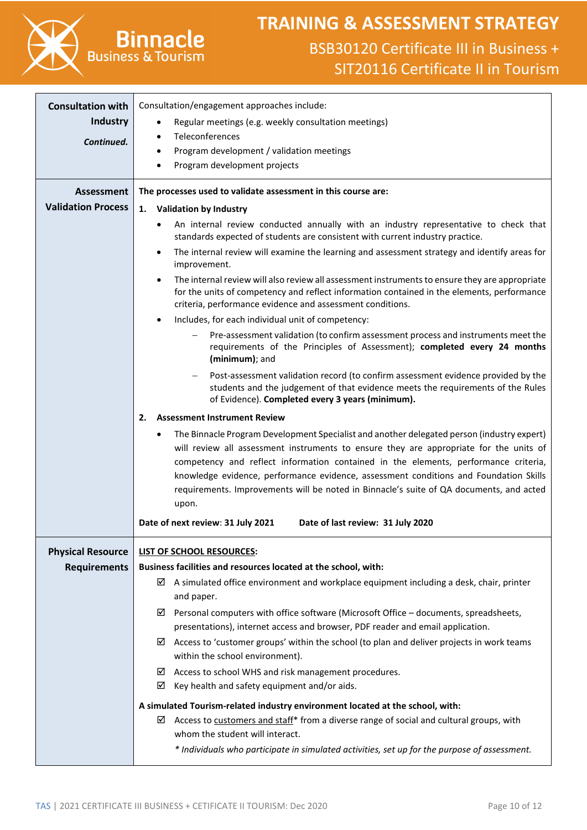

# **TRAINING & ASSESSMENT STRATEGY**

| <b>Consultation with</b>  | Consultation/engagement approaches include:                                                                                                                                                                              |
|---------------------------|--------------------------------------------------------------------------------------------------------------------------------------------------------------------------------------------------------------------------|
| <b>Industry</b>           | Regular meetings (e.g. weekly consultation meetings)<br>٠                                                                                                                                                                |
| Continued.                | Teleconferences<br>$\bullet$                                                                                                                                                                                             |
|                           | Program development / validation meetings<br>$\bullet$                                                                                                                                                                   |
|                           | Program development projects                                                                                                                                                                                             |
| <b>Assessment</b>         | The processes used to validate assessment in this course are:                                                                                                                                                            |
| <b>Validation Process</b> | <b>Validation by Industry</b><br>1.                                                                                                                                                                                      |
|                           | An internal review conducted annually with an industry representative to check that<br>$\bullet$<br>standards expected of students are consistent with current industry practice.                                        |
|                           | The internal review will examine the learning and assessment strategy and identify areas for<br>improvement.                                                                                                             |
|                           | The internal review will also review all assessment instruments to ensure they are appropriate                                                                                                                           |
|                           | for the units of competency and reflect information contained in the elements, performance<br>criteria, performance evidence and assessment conditions.                                                                  |
|                           | Includes, for each individual unit of competency:<br>٠                                                                                                                                                                   |
|                           | Pre-assessment validation (to confirm assessment process and instruments meet the<br>requirements of the Principles of Assessment); completed every 24 months<br>(minimum); and                                          |
|                           | Post-assessment validation record (to confirm assessment evidence provided by the<br>students and the judgement of that evidence meets the requirements of the Rules<br>of Evidence). Completed every 3 years (minimum). |
|                           | <b>Assessment Instrument Review</b><br>2.                                                                                                                                                                                |
|                           | The Binnacle Program Development Specialist and another delegated person (industry expert)<br>$\bullet$                                                                                                                  |
|                           | will review all assessment instruments to ensure they are appropriate for the units of                                                                                                                                   |
|                           | competency and reflect information contained in the elements, performance criteria,                                                                                                                                      |
|                           | knowledge evidence, performance evidence, assessment conditions and Foundation Skills<br>requirements. Improvements will be noted in Binnacle's suite of QA documents, and acted                                         |
|                           | upon.                                                                                                                                                                                                                    |
|                           | Date of next review: 31 July 2021<br>Date of last review: 31 July 2020                                                                                                                                                   |
|                           |                                                                                                                                                                                                                          |
| <b>Physical Resource</b>  | LIST OF SCHOOL RESOURCES:                                                                                                                                                                                                |
| <b>Requirements</b>       | Business facilities and resources located at the school, with:                                                                                                                                                           |
|                           | $\boxtimes$ A simulated office environment and workplace equipment including a desk, chair, printer                                                                                                                      |
|                           | and paper.<br>Personal computers with office software (Microsoft Office - documents, spreadsheets,<br>☑                                                                                                                  |
|                           | presentations), internet access and browser, PDF reader and email application.                                                                                                                                           |
|                           | Access to 'customer groups' within the school (to plan and deliver projects in work teams<br>☑                                                                                                                           |
|                           | within the school environment).                                                                                                                                                                                          |
|                           | Access to school WHS and risk management procedures.<br>☑                                                                                                                                                                |
|                           | Key health and safety equipment and/or aids.<br>☑                                                                                                                                                                        |
|                           | A simulated Tourism-related industry environment located at the school, with:                                                                                                                                            |
|                           | Access to customers and staff* from a diverse range of social and cultural groups, with<br>⊻                                                                                                                             |
|                           | whom the student will interact.                                                                                                                                                                                          |
|                           | * Individuals who participate in simulated activities, set up for the purpose of assessment.                                                                                                                             |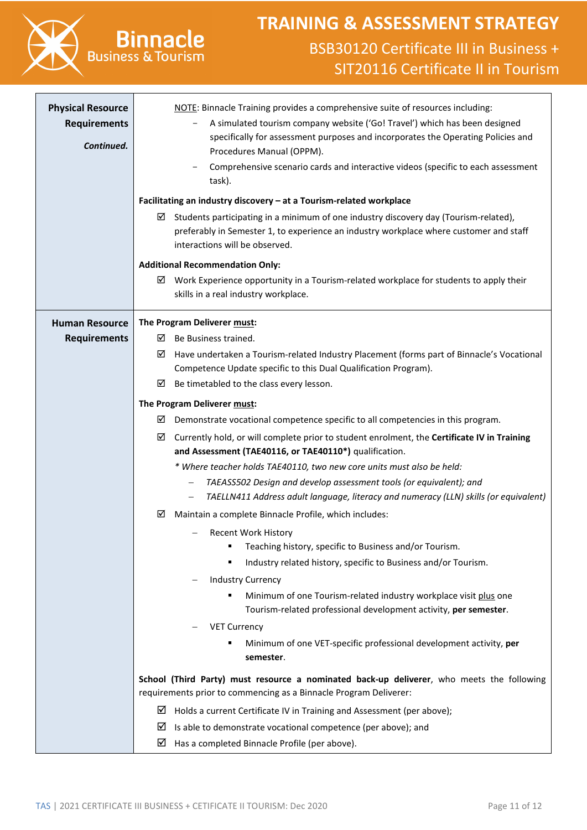

# **Binnacle Business & Tourism**

| <b>Physical Resource</b><br><b>Requirements</b><br>Continued. | NOTE: Binnacle Training provides a comprehensive suite of resources including:<br>A simulated tourism company website ('Go! Travel') which has been designed<br>specifically for assessment purposes and incorporates the Operating Policies and<br>Procedures Manual (OPPM).<br>Comprehensive scenario cards and interactive videos (specific to each assessment<br>task).<br>Facilitating an industry discovery - at a Tourism-related workplace<br>Students participating in a minimum of one industry discovery day (Tourism-related),<br>⊻<br>preferably in Semester 1, to experience an industry workplace where customer and staff<br>interactions will be observed.                                                                                                                                                                                                                                                                                                                                                                                                                                                                                                                                                                                                                                                                                                                                                                                                                                                  |
|---------------------------------------------------------------|------------------------------------------------------------------------------------------------------------------------------------------------------------------------------------------------------------------------------------------------------------------------------------------------------------------------------------------------------------------------------------------------------------------------------------------------------------------------------------------------------------------------------------------------------------------------------------------------------------------------------------------------------------------------------------------------------------------------------------------------------------------------------------------------------------------------------------------------------------------------------------------------------------------------------------------------------------------------------------------------------------------------------------------------------------------------------------------------------------------------------------------------------------------------------------------------------------------------------------------------------------------------------------------------------------------------------------------------------------------------------------------------------------------------------------------------------------------------------------------------------------------------------|
|                                                               | <b>Additional Recommendation Only:</b><br>Work Experience opportunity in a Tourism-related workplace for students to apply their<br>⊠<br>skills in a real industry workplace.                                                                                                                                                                                                                                                                                                                                                                                                                                                                                                                                                                                                                                                                                                                                                                                                                                                                                                                                                                                                                                                                                                                                                                                                                                                                                                                                                |
| <b>Human Resource</b><br><b>Requirements</b>                  | The Program Deliverer must:<br>Be Business trained.<br>⊻<br>Have undertaken a Tourism-related Industry Placement (forms part of Binnacle's Vocational<br>⊻<br>Competence Update specific to this Dual Qualification Program).                                                                                                                                                                                                                                                                                                                                                                                                                                                                                                                                                                                                                                                                                                                                                                                                                                                                                                                                                                                                                                                                                                                                                                                                                                                                                                |
|                                                               | Be timetabled to the class every lesson.<br>☑<br>The Program Deliverer must:<br>Demonstrate vocational competence specific to all competencies in this program.<br>⊻<br>Currently hold, or will complete prior to student enrolment, the Certificate IV in Training<br>☑<br>and Assessment (TAE40116, or TAE40110*) qualification.<br>* Where teacher holds TAE40110, two new core units must also be held:<br>TAEASS502 Design and develop assessment tools (or equivalent); and<br>$\overline{\phantom{m}}$<br>TAELLN411 Address adult language, literacy and numeracy (LLN) skills (or equivalent)<br>$\qquad \qquad -$<br>Maintain a complete Binnacle Profile, which includes:<br>⊻<br><b>Recent Work History</b><br>Teaching history, specific to Business and/or Tourism.<br>٠<br>Industry related history, specific to Business and/or Tourism.<br>٠<br><b>Industry Currency</b><br>Minimum of one Tourism-related industry workplace visit plus one<br>٠<br>Tourism-related professional development activity, per semester.<br><b>VET Currency</b><br>Minimum of one VET-specific professional development activity, per<br>semester.<br>School (Third Party) must resource a nominated back-up deliverer, who meets the following<br>requirements prior to commencing as a Binnacle Program Deliverer:<br>⊻<br>Holds a current Certificate IV in Training and Assessment (per above);<br>⊻<br>Is able to demonstrate vocational competence (per above); and<br>☑<br>Has a completed Binnacle Profile (per above). |